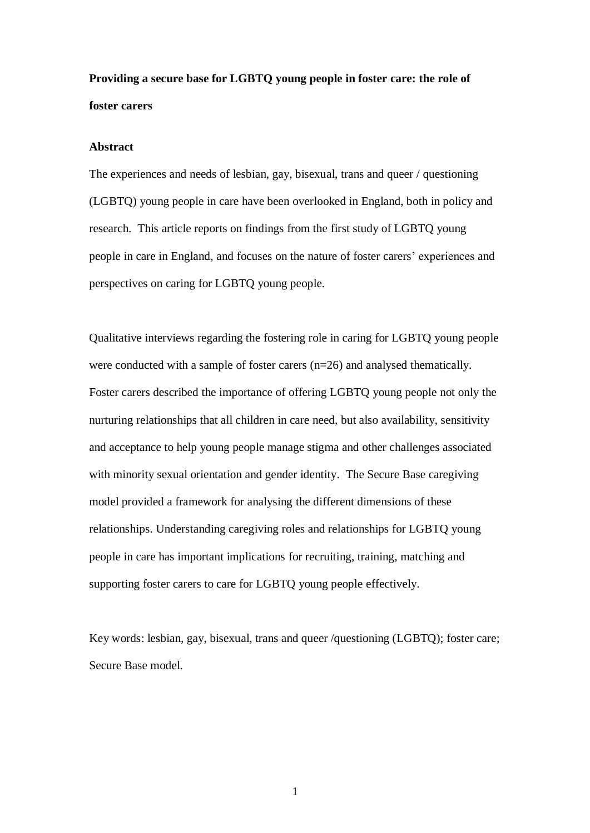**Providing a secure base for LGBTQ young people in foster care: the role of foster carers** 

## **Abstract**

The experiences and needs of lesbian, gay, bisexual, trans and queer / questioning (LGBTQ) young people in care have been overlooked in England, both in policy and research. This article reports on findings from the first study of LGBTQ young people in care in England, and focuses on the nature of foster carers' experiences and perspectives on caring for LGBTQ young people.

Qualitative interviews regarding the fostering role in caring for LGBTQ young people were conducted with a sample of foster carers (n=26) and analysed thematically. Foster carers described the importance of offering LGBTQ young people not only the nurturing relationships that all children in care need, but also availability, sensitivity and acceptance to help young people manage stigma and other challenges associated with minority sexual orientation and gender identity. The Secure Base caregiving model provided a framework for analysing the different dimensions of these relationships. Understanding caregiving roles and relationships for LGBTQ young people in care has important implications for recruiting, training, matching and supporting foster carers to care for LGBTQ young people effectively.

Key words: lesbian, gay, bisexual, trans and queer /questioning (LGBTQ); foster care; Secure Base model.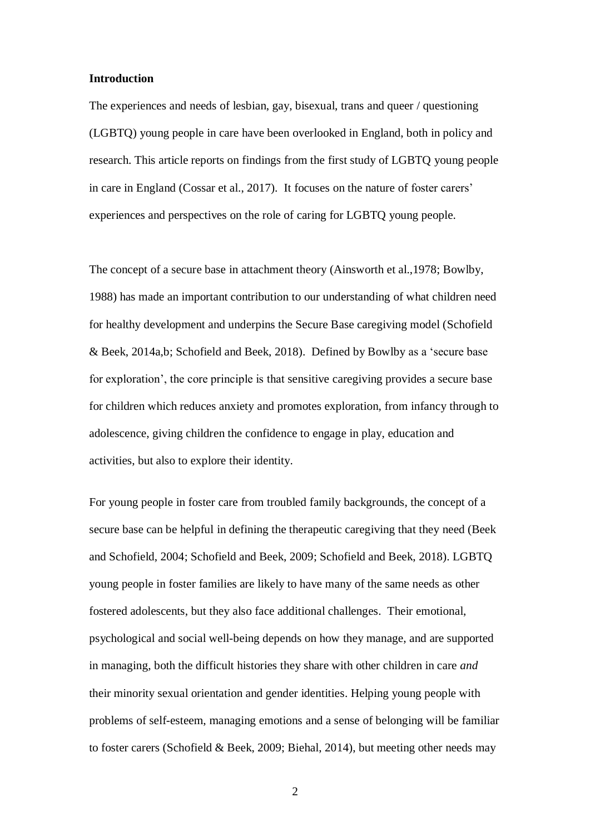#### **Introduction**

The experiences and needs of lesbian, gay, bisexual, trans and queer / questioning (LGBTQ) young people in care have been overlooked in England, both in policy and research. This article reports on findings from the first study of LGBTQ young people in care in England (Cossar et al., 2017). It focuses on the nature of foster carers' experiences and perspectives on the role of caring for LGBTQ young people.

The concept of a secure base in attachment theory (Ainsworth et al.,1978; Bowlby, 1988) has made an important contribution to our understanding of what children need for healthy development and underpins the Secure Base caregiving model (Schofield & Beek, 2014a,b; Schofield and Beek, 2018). Defined by Bowlby as a 'secure base for exploration', the core principle is that sensitive caregiving provides a secure base for children which reduces anxiety and promotes exploration, from infancy through to adolescence, giving children the confidence to engage in play, education and activities, but also to explore their identity.

For young people in foster care from troubled family backgrounds, the concept of a secure base can be helpful in defining the therapeutic caregiving that they need (Beek and Schofield, 2004; Schofield and Beek, 2009; Schofield and Beek, 2018). LGBTQ young people in foster families are likely to have many of the same needs as other fostered adolescents, but they also face additional challenges. Their emotional, psychological and social well-being depends on how they manage, and are supported in managing, both the difficult histories they share with other children in care *and* their minority sexual orientation and gender identities. Helping young people with problems of self-esteem, managing emotions and a sense of belonging will be familiar to foster carers (Schofield & Beek, 2009; Biehal, 2014), but meeting other needs may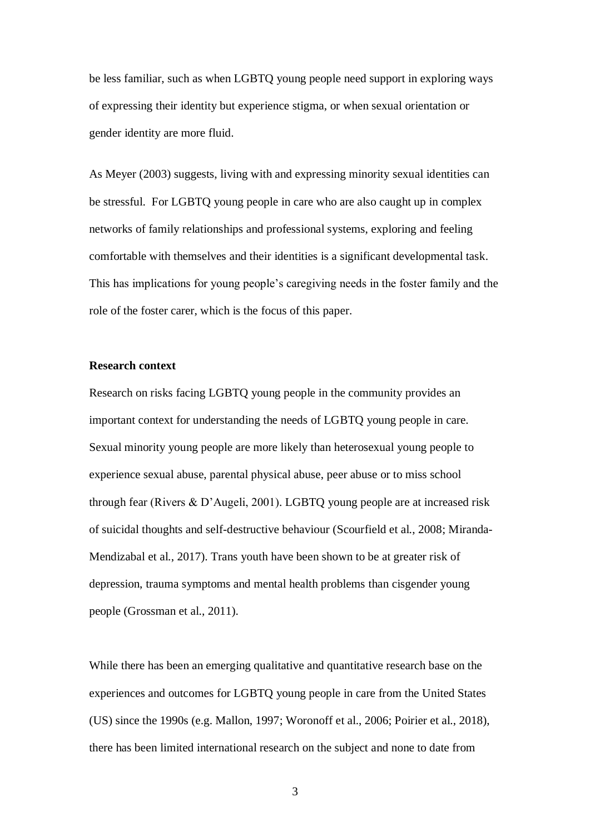be less familiar, such as when LGBTQ young people need support in exploring ways of expressing their identity but experience stigma, or when sexual orientation or gender identity are more fluid.

As Meyer (2003) suggests, living with and expressing minority sexual identities can be stressful. For LGBTQ young people in care who are also caught up in complex networks of family relationships and professional systems, exploring and feeling comfortable with themselves and their identities is a significant developmental task. This has implications for young people's caregiving needs in the foster family and the role of the foster carer, which is the focus of this paper.

## **Research context**

Research on risks facing LGBTQ young people in the community provides an important context for understanding the needs of LGBTQ young people in care. Sexual minority young people are more likely than heterosexual young people to experience sexual abuse, parental physical abuse, peer abuse or to miss school through fear (Rivers & D'Augeli, 2001). LGBTQ young people are at increased risk of suicidal thoughts and self-destructive behaviour (Scourfield et al*.*, 2008; Miranda-Mendizabal et al*.*, 2017). Trans youth have been shown to be at greater risk of depression, trauma symptoms and mental health problems than cisgender young people (Grossman et al., 2011).

While there has been an emerging qualitative and quantitative research base on the experiences and outcomes for LGBTQ young people in care from the United States (US) since the 1990s (e.g. Mallon, 1997; Woronoff et al., 2006; Poirier et al., 2018), there has been limited international research on the subject and none to date from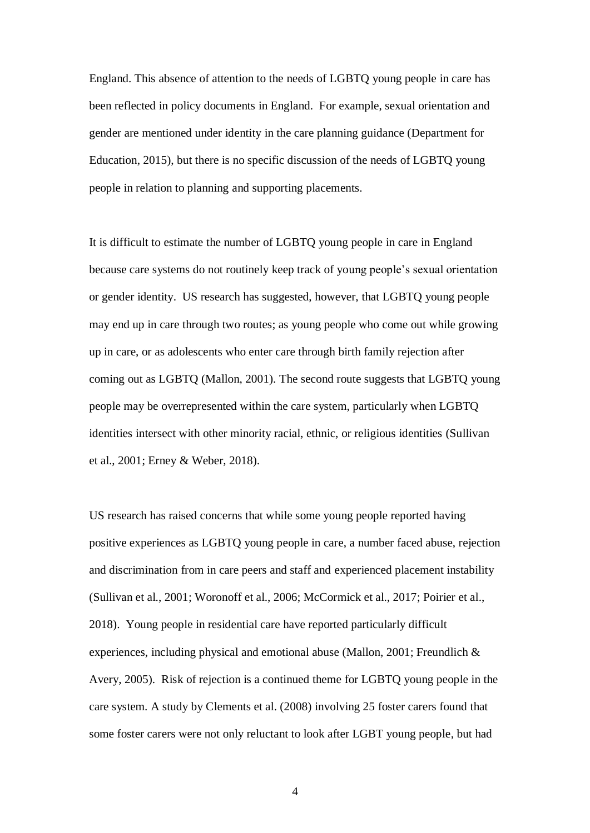England. This absence of attention to the needs of LGBTQ young people in care has been reflected in policy documents in England. For example, sexual orientation and gender are mentioned under identity in the care planning guidance (Department for Education, 2015), but there is no specific discussion of the needs of LGBTQ young people in relation to planning and supporting placements.

It is difficult to estimate the number of LGBTQ young people in care in England because care systems do not routinely keep track of young people's sexual orientation or gender identity. US research has suggested, however, that LGBTQ young people may end up in care through two routes; as young people who come out while growing up in care, or as adolescents who enter care through birth family rejection after coming out as LGBTQ (Mallon, 2001). The second route suggests that LGBTQ young people may be overrepresented within the care system, particularly when LGBTQ identities intersect with other minority racial, ethnic, or religious identities (Sullivan et al., 2001; Erney & Weber, 2018).

US research has raised concerns that while some young people reported having positive experiences as LGBTQ young people in care, a number faced abuse, rejection and discrimination from in care peers and staff and experienced placement instability (Sullivan et al., 2001; Woronoff et al., 2006; McCormick et al., 2017; Poirier et al., 2018). Young people in residential care have reported particularly difficult experiences, including physical and emotional abuse (Mallon, 2001; Freundlich & Avery, 2005). Risk of rejection is a continued theme for LGBTQ young people in the care system. A study by Clements et al. (2008) involving 25 foster carers found that some foster carers were not only reluctant to look after LGBT young people, but had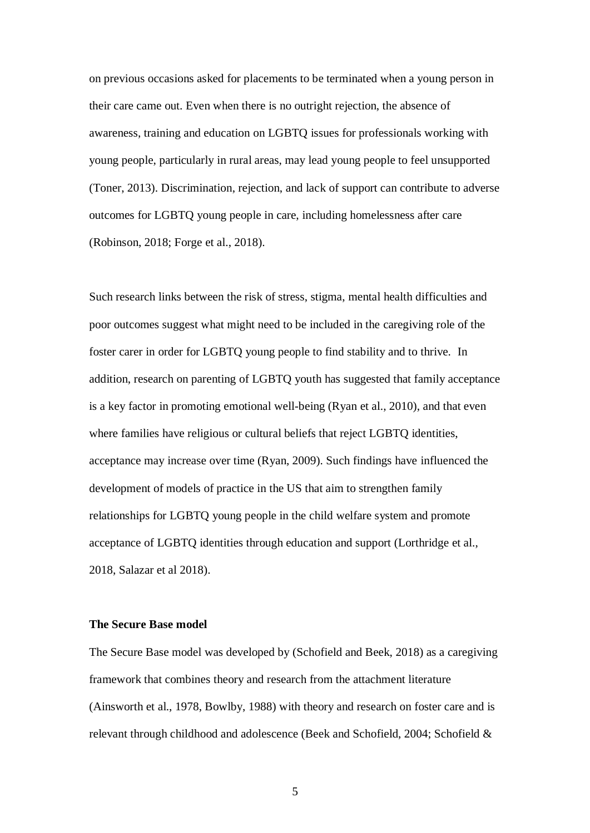on previous occasions asked for placements to be terminated when a young person in their care came out. Even when there is no outright rejection, the absence of awareness, training and education on LGBTQ issues for professionals working with young people, particularly in rural areas, may lead young people to feel unsupported (Toner, 2013). Discrimination, rejection, and lack of support can contribute to adverse outcomes for LGBTQ young people in care, including homelessness after care (Robinson, 2018; Forge et al., 2018).

Such research links between the risk of stress, stigma, mental health difficulties and poor outcomes suggest what might need to be included in the caregiving role of the foster carer in order for LGBTQ young people to find stability and to thrive. In addition, research on parenting of LGBTQ youth has suggested that family acceptance is a key factor in promoting emotional well-being (Ryan et al., 2010), and that even where families have religious or cultural beliefs that reject LGBTQ identities, acceptance may increase over time (Ryan, 2009). Such findings have influenced the development of models of practice in the US that aim to strengthen family relationships for LGBTQ young people in the child welfare system and promote acceptance of LGBTQ identities through education and support (Lorthridge et al., 2018, Salazar et al 2018).

## **The Secure Base model**

The Secure Base model was developed by (Schofield and Beek, 2018) as a caregiving framework that combines theory and research from the attachment literature (Ainsworth et al., 1978, Bowlby, 1988) with theory and research on foster care and is relevant through childhood and adolescence (Beek and Schofield, 2004; Schofield &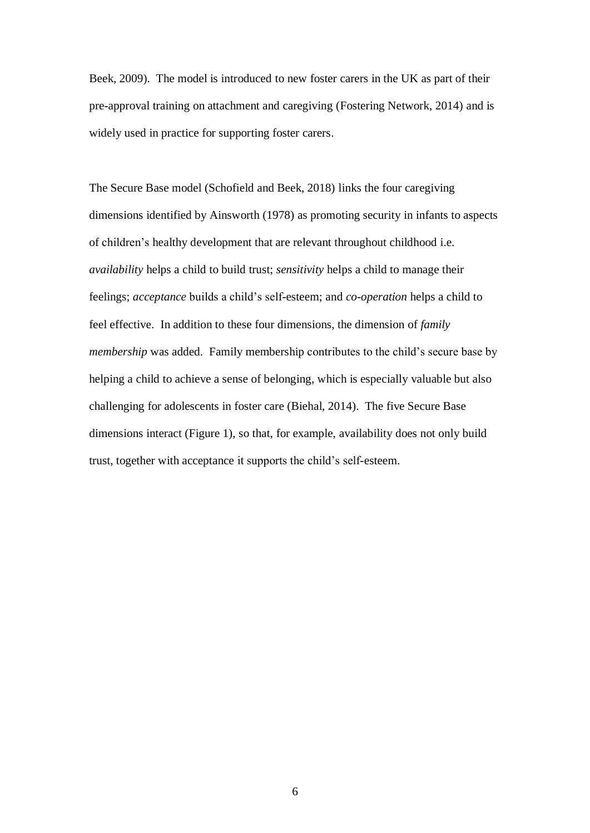Beek, 2009). The model is introduced to new foster carers in the UK as part of their pre-approval training on attachment and caregiving (Fostering Network, 2014) and is widely used in practice for supporting foster carers.

The Secure Base model (Schofield and Beek, 2018) links the four caregiving dimensions identified by Ainsworth (1978) as promoting security in infants to aspects of children's healthy development that are relevant throughout childhood i.e. *availability* helps a child to build trust; *sensitivity* helps a child to manage their feelings; *acceptance* builds a child's self-esteem; and *co-operation* helps a child to feel effective. In addition to these four dimensions, the dimension of *family membership* was added. Family membership contributes to the child's secure base by helping a child to achieve a sense of belonging, which is especially valuable but also challenging for adolescents in foster care (Biehal, 2014). The five Secure Base dimensions interact (Figure 1), so that, for example, availability does not only build trust, together with acceptance it supports the child's self-esteem.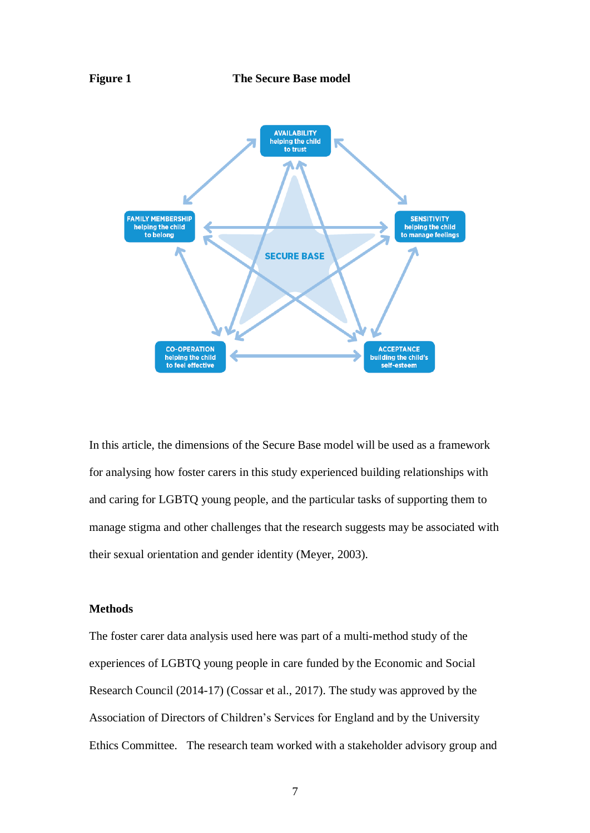

In this article, the dimensions of the Secure Base model will be used as a framework for analysing how foster carers in this study experienced building relationships with and caring for LGBTQ young people, and the particular tasks of supporting them to manage stigma and other challenges that the research suggests may be associated with their sexual orientation and gender identity (Meyer, 2003).

#### **Methods**

The foster carer data analysis used here was part of a multi-method study of the experiences of LGBTQ young people in care funded by the Economic and Social Research Council (2014-17) (Cossar et al., 2017). The study was approved by the Association of Directors of Children's Services for England and by the University Ethics Committee. The research team worked with a stakeholder advisory group and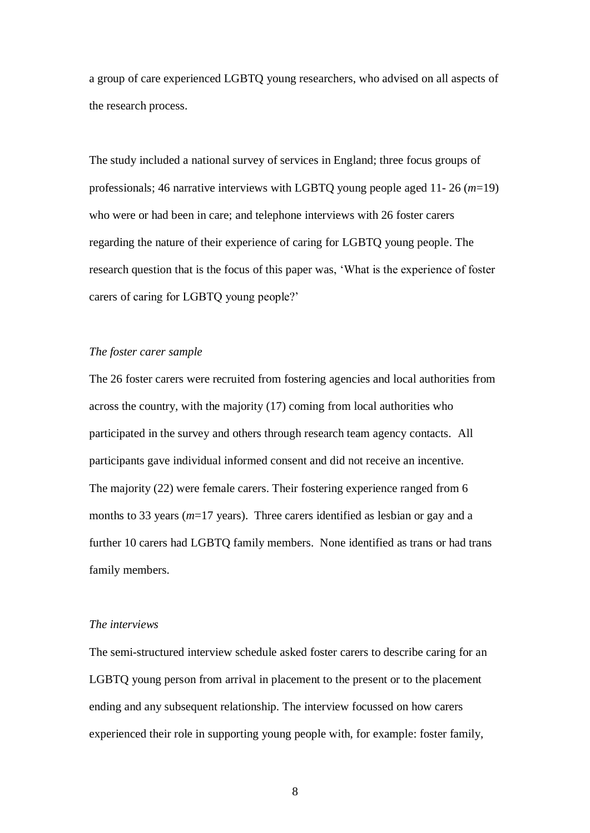a group of care experienced LGBTQ young researchers, who advised on all aspects of the research process.

The study included a national survey of services in England; three focus groups of professionals; 46 narrative interviews with LGBTQ young people aged 11- 26 (*m*=19) who were or had been in care; and telephone interviews with 26 foster carers regarding the nature of their experience of caring for LGBTQ young people. The research question that is the focus of this paper was, 'What is the experience of foster carers of caring for LGBTQ young people?'

## *The foster carer sample*

The 26 foster carers were recruited from fostering agencies and local authorities from across the country, with the majority (17) coming from local authorities who participated in the survey and others through research team agency contacts. All participants gave individual informed consent and did not receive an incentive. The majority (22) were female carers. Their fostering experience ranged from 6 months to 33 years (*m*=17 years). Three carers identified as lesbian or gay and a further 10 carers had LGBTQ family members. None identified as trans or had trans family members.

## *The interviews*

The semi-structured interview schedule asked foster carers to describe caring for an LGBTQ young person from arrival in placement to the present or to the placement ending and any subsequent relationship. The interview focussed on how carers experienced their role in supporting young people with, for example: foster family,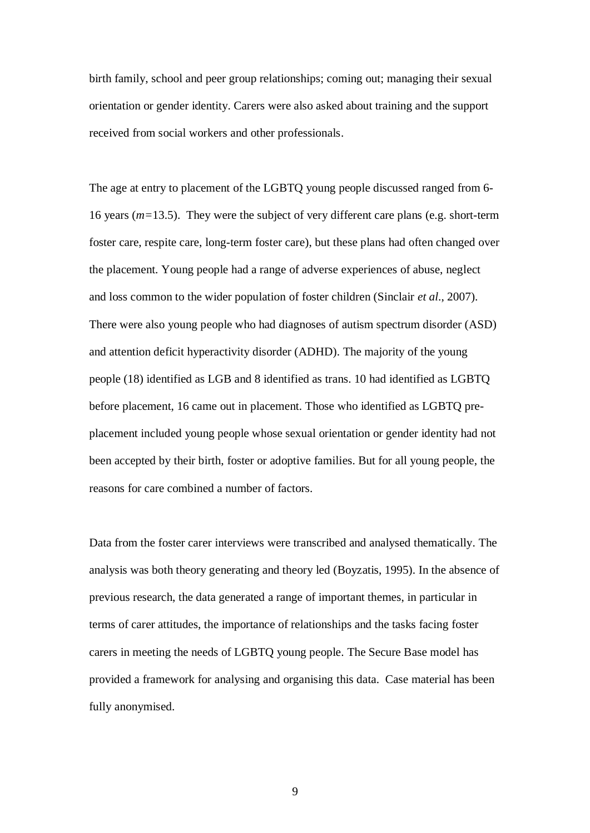birth family, school and peer group relationships; coming out; managing their sexual orientation or gender identity. Carers were also asked about training and the support received from social workers and other professionals.

The age at entry to placement of the LGBTQ young people discussed ranged from 6- 16 years (*m=*13.5). They were the subject of very different care plans (e.g. short-term foster care, respite care, long-term foster care), but these plans had often changed over the placement. Young people had a range of adverse experiences of abuse, neglect and loss common to the wider population of foster children (Sinclair *et al*., 2007). There were also young people who had diagnoses of autism spectrum disorder (ASD) and attention deficit hyperactivity disorder (ADHD). The majority of the young people (18) identified as LGB and 8 identified as trans. 10 had identified as LGBTQ before placement, 16 came out in placement. Those who identified as LGBTQ preplacement included young people whose sexual orientation or gender identity had not been accepted by their birth, foster or adoptive families. But for all young people, the reasons for care combined a number of factors.

Data from the foster carer interviews were transcribed and analysed thematically. The analysis was both theory generating and theory led (Boyzatis, 1995). In the absence of previous research, the data generated a range of important themes, in particular in terms of carer attitudes, the importance of relationships and the tasks facing foster carers in meeting the needs of LGBTQ young people. The Secure Base model has provided a framework for analysing and organising this data. Case material has been fully anonymised.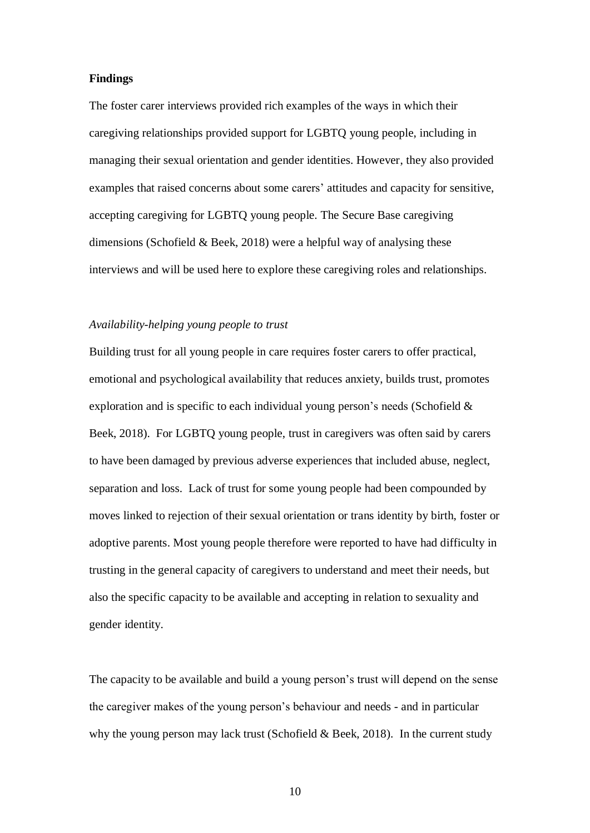## **Findings**

The foster carer interviews provided rich examples of the ways in which their caregiving relationships provided support for LGBTQ young people, including in managing their sexual orientation and gender identities. However, they also provided examples that raised concerns about some carers' attitudes and capacity for sensitive, accepting caregiving for LGBTQ young people. The Secure Base caregiving dimensions (Schofield & Beek, 2018) were a helpful way of analysing these interviews and will be used here to explore these caregiving roles and relationships.

## *Availability-helping young people to trust*

Building trust for all young people in care requires foster carers to offer practical, emotional and psychological availability that reduces anxiety, builds trust, promotes exploration and is specific to each individual young person's needs (Schofield & Beek, 2018). For LGBTQ young people, trust in caregivers was often said by carers to have been damaged by previous adverse experiences that included abuse, neglect, separation and loss. Lack of trust for some young people had been compounded by moves linked to rejection of their sexual orientation or trans identity by birth, foster or adoptive parents. Most young people therefore were reported to have had difficulty in trusting in the general capacity of caregivers to understand and meet their needs, but also the specific capacity to be available and accepting in relation to sexuality and gender identity.

The capacity to be available and build a young person's trust will depend on the sense the caregiver makes of the young person's behaviour and needs - and in particular why the young person may lack trust (Schofield & Beek, 2018). In the current study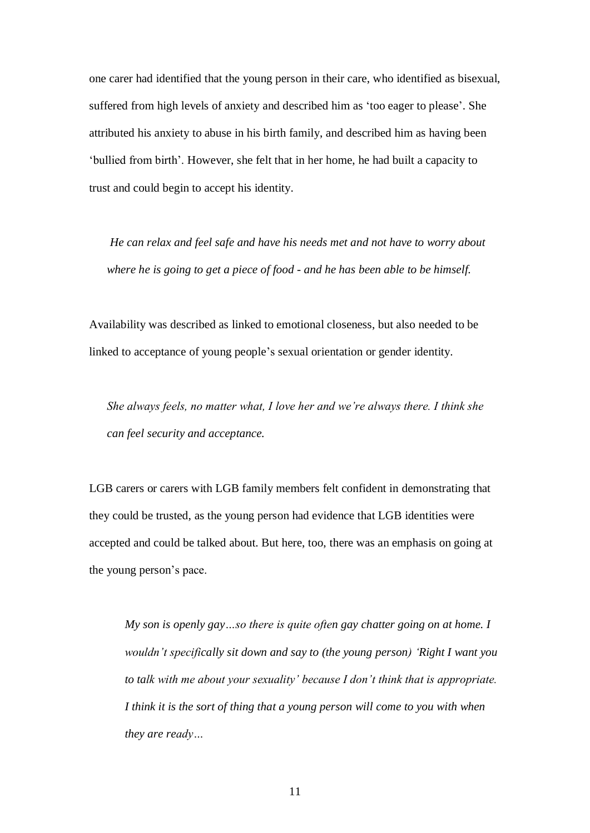one carer had identified that the young person in their care, who identified as bisexual, suffered from high levels of anxiety and described him as 'too eager to please'. She attributed his anxiety to abuse in his birth family, and described him as having been 'bullied from birth'. However, she felt that in her home, he had built a capacity to trust and could begin to accept his identity.

*He can relax and feel safe and have his needs met and not have to worry about where he is going to get a piece of food - and he has been able to be himself.*

Availability was described as linked to emotional closeness, but also needed to be linked to acceptance of young people's sexual orientation or gender identity.

*She always feels, no matter what, I love her and we're always there. I think she can feel security and acceptance.*

LGB carers or carers with LGB family members felt confident in demonstrating that they could be trusted, as the young person had evidence that LGB identities were accepted and could be talked about. But here, too, there was an emphasis on going at the young person's pace.

*My son is openly gay…so there is quite often gay chatter going on at home. I wouldn't specifically sit down and say to (the young person) 'Right I want you to talk with me about your sexuality' because I don't think that is appropriate. I think it is the sort of thing that a young person will come to you with when they are ready…*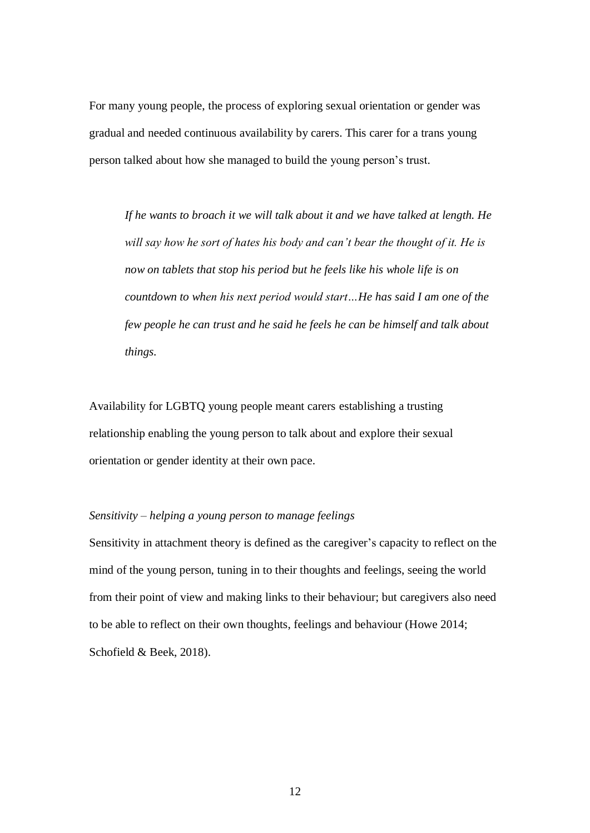For many young people, the process of exploring sexual orientation or gender was gradual and needed continuous availability by carers. This carer for a trans young person talked about how she managed to build the young person's trust.

*If he wants to broach it we will talk about it and we have talked at length. He will say how he sort of hates his body and can't bear the thought of it. He is now on tablets that stop his period but he feels like his whole life is on countdown to when his next period would start…He has said I am one of the few people he can trust and he said he feels he can be himself and talk about things.*

Availability for LGBTQ young people meant carers establishing a trusting relationship enabling the young person to talk about and explore their sexual orientation or gender identity at their own pace.

# *Sensitivity – helping a young person to manage feelings*

Sensitivity in attachment theory is defined as the caregiver's capacity to reflect on the mind of the young person, tuning in to their thoughts and feelings, seeing the world from their point of view and making links to their behaviour; but caregivers also need to be able to reflect on their own thoughts, feelings and behaviour (Howe 2014; Schofield & Beek, 2018).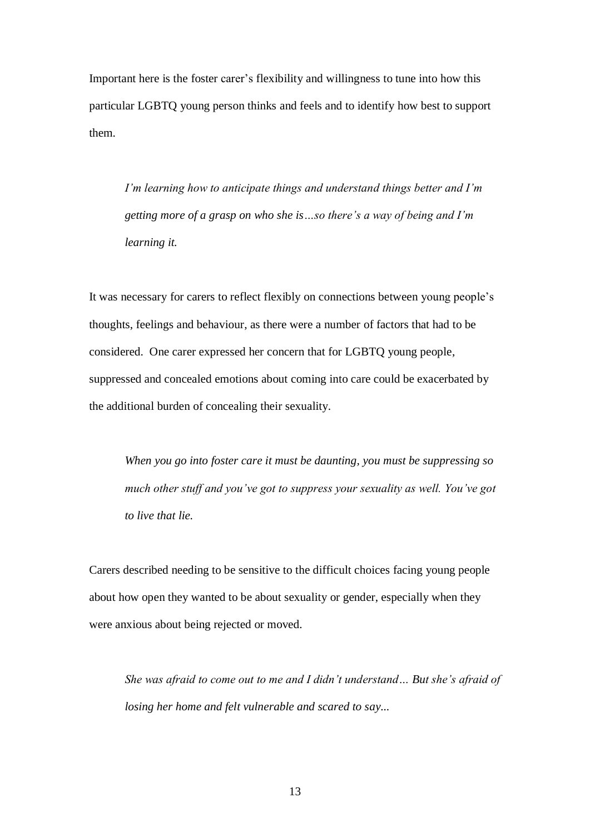Important here is the foster carer's flexibility and willingness to tune into how this particular LGBTQ young person thinks and feels and to identify how best to support them.

*I'm learning how to anticipate things and understand things better and I'm getting more of a grasp on who she is…so there's a way of being and I'm learning it.* 

It was necessary for carers to reflect flexibly on connections between young people's thoughts, feelings and behaviour, as there were a number of factors that had to be considered. One carer expressed her concern that for LGBTQ young people, suppressed and concealed emotions about coming into care could be exacerbated by the additional burden of concealing their sexuality.

*When you go into foster care it must be daunting, you must be suppressing so much other stuff and you've got to suppress your sexuality as well. You've got to live that lie.*

Carers described needing to be sensitive to the difficult choices facing young people about how open they wanted to be about sexuality or gender, especially when they were anxious about being rejected or moved.

*She was afraid to come out to me and I didn't understand… But she's afraid of losing her home and felt vulnerable and scared to say...*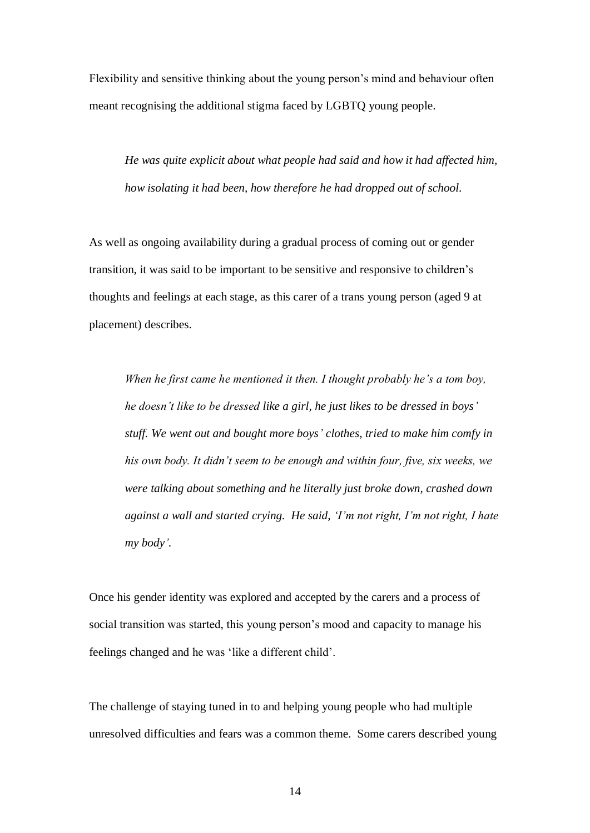Flexibility and sensitive thinking about the young person's mind and behaviour often meant recognising the additional stigma faced by LGBTQ young people.

*He was quite explicit about what people had said and how it had affected him, how isolating it had been, how therefore he had dropped out of school.* 

As well as ongoing availability during a gradual process of coming out or gender transition, it was said to be important to be sensitive and responsive to children's thoughts and feelings at each stage, as this carer of a trans young person (aged 9 at placement) describes.

*When he first came he mentioned it then. I thought probably he's a tom boy, he doesn't like to be dressed like a girl, he just likes to be dressed in boys' stuff. We went out and bought more boys' clothes, tried to make him comfy in his own body. It didn't seem to be enough and within four, five, six weeks, we were talking about something and he literally just broke down, crashed down against a wall and started crying. He said, 'I'm not right, I'm not right, I hate my body'.* 

Once his gender identity was explored and accepted by the carers and a process of social transition was started, this young person's mood and capacity to manage his feelings changed and he was 'like a different child'.

The challenge of staying tuned in to and helping young people who had multiple unresolved difficulties and fears was a common theme. Some carers described young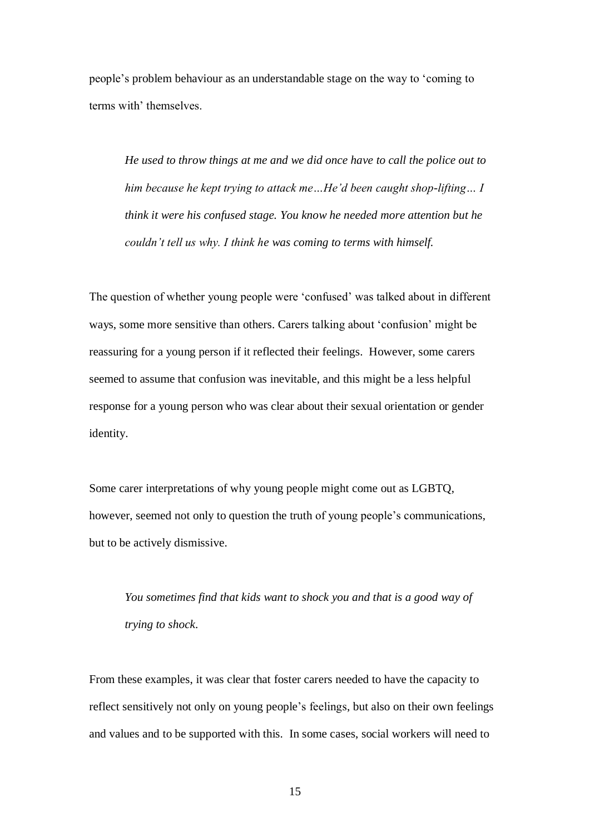people's problem behaviour as an understandable stage on the way to 'coming to terms with' themselves.

*He used to throw things at me and we did once have to call the police out to him because he kept trying to attack me…He'd been caught shop-lifting… I think it were his confused stage. You know he needed more attention but he couldn't tell us why. I think he was coming to terms with himself.* 

The question of whether young people were 'confused' was talked about in different ways, some more sensitive than others. Carers talking about 'confusion' might be reassuring for a young person if it reflected their feelings. However, some carers seemed to assume that confusion was inevitable, and this might be a less helpful response for a young person who was clear about their sexual orientation or gender identity.

Some carer interpretations of why young people might come out as LGBTQ, however, seemed not only to question the truth of young people's communications, but to be actively dismissive.

*You sometimes find that kids want to shock you and that is a good way of trying to shock*.

From these examples, it was clear that foster carers needed to have the capacity to reflect sensitively not only on young people's feelings, but also on their own feelings and values and to be supported with this. In some cases, social workers will need to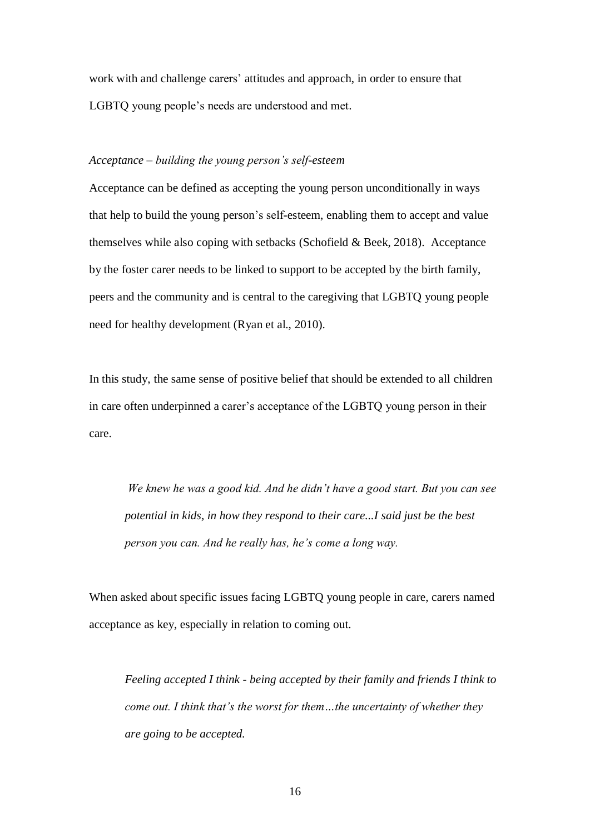work with and challenge carers' attitudes and approach, in order to ensure that LGBTQ young people's needs are understood and met.

## *Acceptance – building the young person's self-esteem*

Acceptance can be defined as accepting the young person unconditionally in ways that help to build the young person's self-esteem, enabling them to accept and value themselves while also coping with setbacks (Schofield & Beek, 2018). Acceptance by the foster carer needs to be linked to support to be accepted by the birth family, peers and the community and is central to the caregiving that LGBTQ young people need for healthy development (Ryan et al., 2010).

In this study, the same sense of positive belief that should be extended to all children in care often underpinned a carer's acceptance of the LGBTQ young person in their care.

*We knew he was a good kid. And he didn't have a good start. But you can see potential in kids, in how they respond to their care...I said just be the best person you can. And he really has, he's come a long way.* 

When asked about specific issues facing LGBTQ young people in care, carers named acceptance as key, especially in relation to coming out.

*Feeling accepted I think - being accepted by their family and friends I think to come out. I think that's the worst for them…the uncertainty of whether they are going to be accepted.*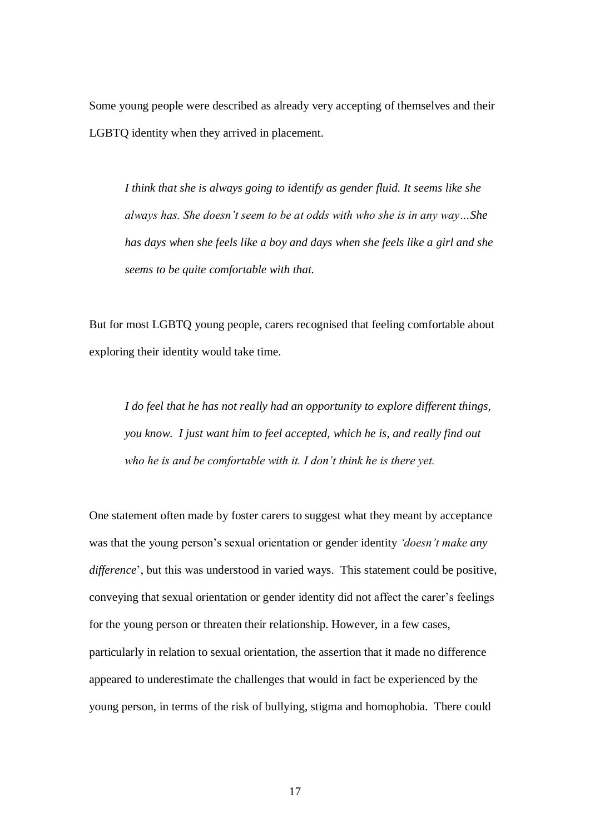Some young people were described as already very accepting of themselves and their LGBTQ identity when they arrived in placement.

*I think that she is always going to identify as gender fluid. It seems like she always has. She doesn't seem to be at odds with who she is in any way…She has days when she feels like a boy and days when she feels like a girl and she seems to be quite comfortable with that.*

But for most LGBTQ young people, carers recognised that feeling comfortable about exploring their identity would take time.

*I do feel that he has not really had an opportunity to explore different things, you know. I just want him to feel accepted, which he is, and really find out who he is and be comfortable with it. I don't think he is there yet.* 

One statement often made by foster carers to suggest what they meant by acceptance was that the young person's sexual orientation or gender identity *'doesn't make any difference*', but this was understood in varied ways. This statement could be positive, conveying that sexual orientation or gender identity did not affect the carer's feelings for the young person or threaten their relationship. However, in a few cases, particularly in relation to sexual orientation, the assertion that it made no difference appeared to underestimate the challenges that would in fact be experienced by the young person, in terms of the risk of bullying, stigma and homophobia. There could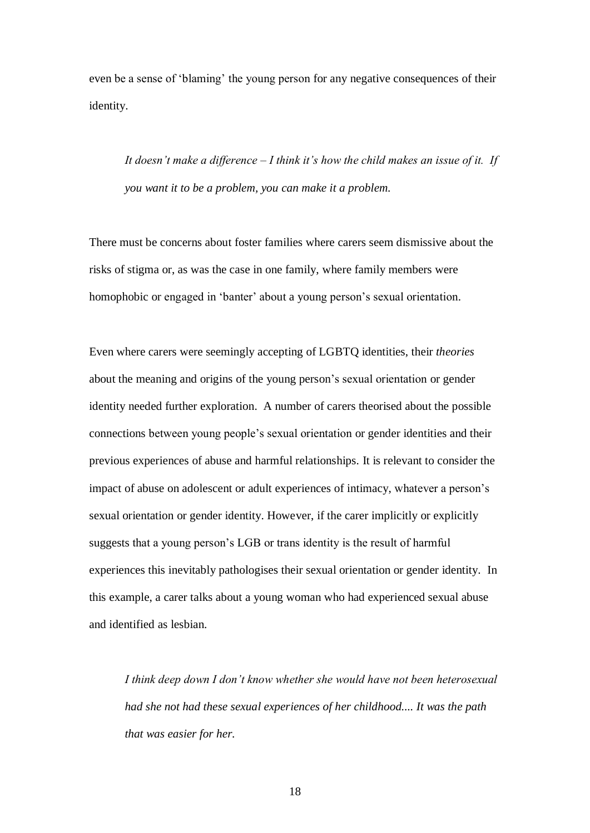even be a sense of 'blaming' the young person for any negative consequences of their identity.

*It doesn't make a difference – I think it's how the child makes an issue of it. If you want it to be a problem, you can make it a problem.*

There must be concerns about foster families where carers seem dismissive about the risks of stigma or, as was the case in one family, where family members were homophobic or engaged in 'banter' about a young person's sexual orientation.

Even where carers were seemingly accepting of LGBTQ identities, their *theories* about the meaning and origins of the young person's sexual orientation or gender identity needed further exploration. A number of carers theorised about the possible connections between young people's sexual orientation or gender identities and their previous experiences of abuse and harmful relationships. It is relevant to consider the impact of abuse on adolescent or adult experiences of intimacy, whatever a person's sexual orientation or gender identity. However, if the carer implicitly or explicitly suggests that a young person's LGB or trans identity is the result of harmful experiences this inevitably pathologises their sexual orientation or gender identity. In this example, a carer talks about a young woman who had experienced sexual abuse and identified as lesbian.

*I think deep down I don't know whether she would have not been heterosexual had she not had these sexual experiences of her childhood.... It was the path that was easier for her.*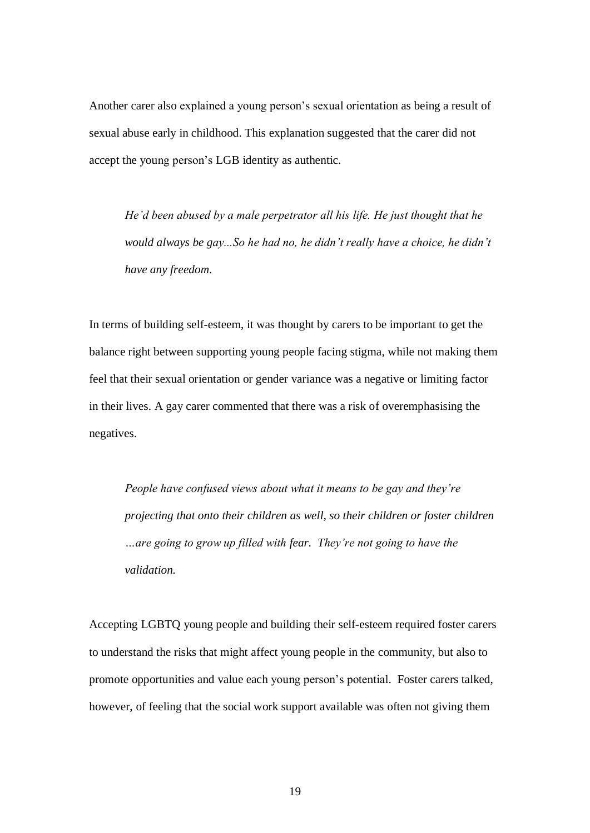Another carer also explained a young person's sexual orientation as being a result of sexual abuse early in childhood. This explanation suggested that the carer did not accept the young person's LGB identity as authentic.

*He'd been abused by a male perpetrator all his life. He just thought that he would always be gay...So he had no, he didn't really have a choice, he didn't have any freedom.*

In terms of building self-esteem, it was thought by carers to be important to get the balance right between supporting young people facing stigma, while not making them feel that their sexual orientation or gender variance was a negative or limiting factor in their lives. A gay carer commented that there was a risk of overemphasising the negatives.

*People have confused views about what it means to be gay and they're projecting that onto their children as well, so their children or foster children …are going to grow up filled with fear. They're not going to have the validation.* 

Accepting LGBTQ young people and building their self-esteem required foster carers to understand the risks that might affect young people in the community, but also to promote opportunities and value each young person's potential. Foster carers talked, however, of feeling that the social work support available was often not giving them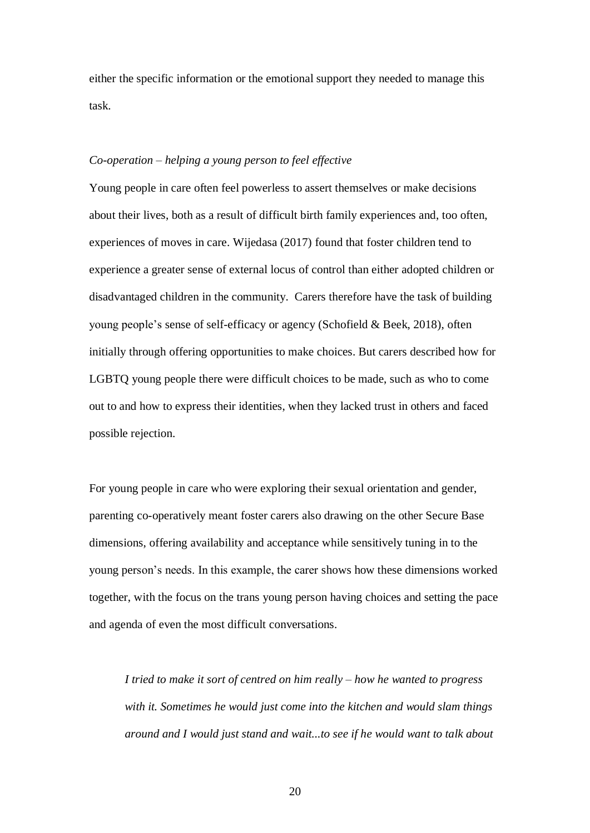either the specific information or the emotional support they needed to manage this task.

## *Co-operation – helping a young person to feel effective*

Young people in care often feel powerless to assert themselves or make decisions about their lives, both as a result of difficult birth family experiences and, too often, experiences of moves in care. Wijedasa (2017) found that foster children tend to experience a greater sense of external locus of control than either adopted children or disadvantaged children in the community. Carers therefore have the task of building young people's sense of self-efficacy or agency (Schofield & Beek, 2018), often initially through offering opportunities to make choices. But carers described how for LGBTQ young people there were difficult choices to be made, such as who to come out to and how to express their identities, when they lacked trust in others and faced possible rejection.

For young people in care who were exploring their sexual orientation and gender, parenting co-operatively meant foster carers also drawing on the other Secure Base dimensions, offering availability and acceptance while sensitively tuning in to the young person's needs. In this example, the carer shows how these dimensions worked together, with the focus on the trans young person having choices and setting the pace and agenda of even the most difficult conversations.

*I tried to make it sort of centred on him really – how he wanted to progress with it. Sometimes he would just come into the kitchen and would slam things around and I would just stand and wait...to see if he would want to talk about*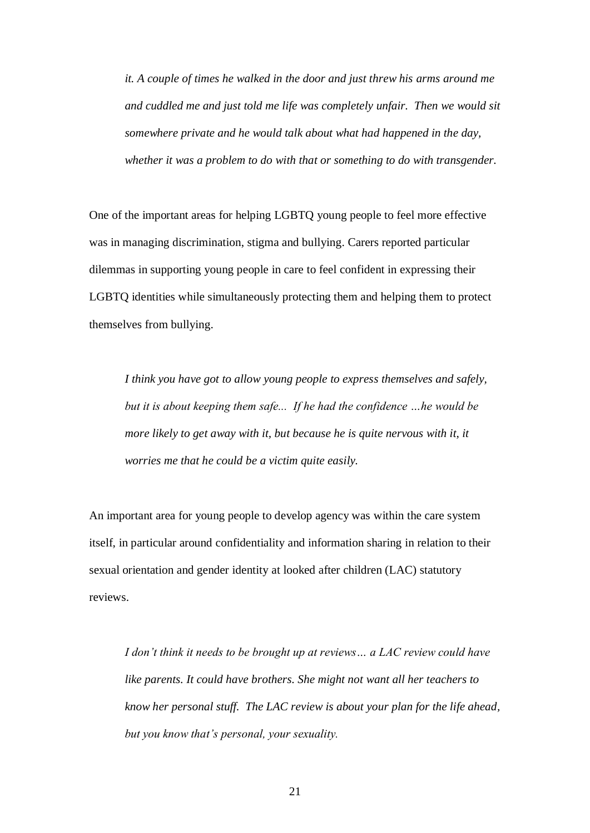*it. A couple of times he walked in the door and just threw his arms around me and cuddled me and just told me life was completely unfair. Then we would sit somewhere private and he would talk about what had happened in the day, whether it was a problem to do with that or something to do with transgender.*

One of the important areas for helping LGBTQ young people to feel more effective was in managing discrimination, stigma and bullying. Carers reported particular dilemmas in supporting young people in care to feel confident in expressing their LGBTQ identities while simultaneously protecting them and helping them to protect themselves from bullying.

*I think you have got to allow young people to express themselves and safely, but it is about keeping them safe... If he had the confidence …he would be more likely to get away with it, but because he is quite nervous with it, it worries me that he could be a victim quite easily.*

An important area for young people to develop agency was within the care system itself, in particular around confidentiality and information sharing in relation to their sexual orientation and gender identity at looked after children (LAC) statutory reviews.

*I don't think it needs to be brought up at reviews… a LAC review could have like parents. It could have brothers. She might not want all her teachers to know her personal stuff. The LAC review is about your plan for the life ahead, but you know that's personal, your sexuality.*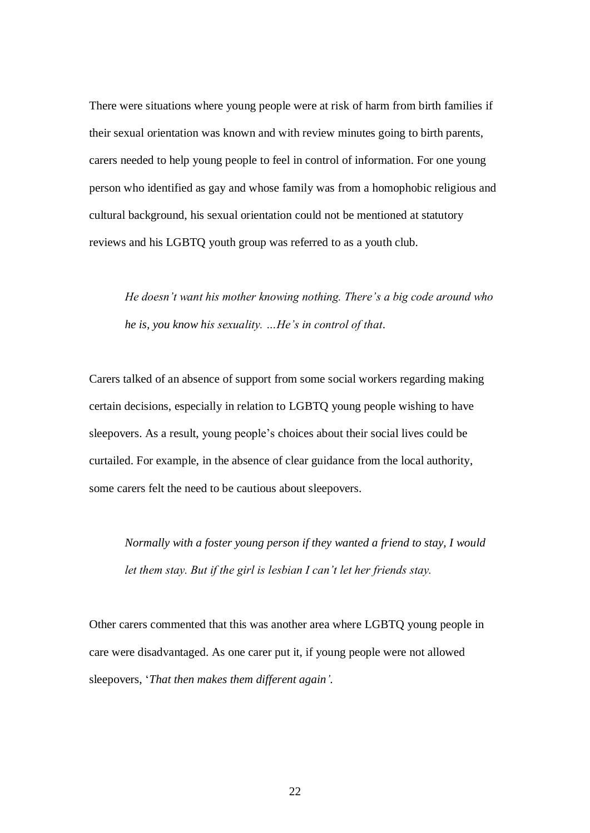There were situations where young people were at risk of harm from birth families if their sexual orientation was known and with review minutes going to birth parents, carers needed to help young people to feel in control of information. For one young person who identified as gay and whose family was from a homophobic religious and cultural background, his sexual orientation could not be mentioned at statutory reviews and his LGBTQ youth group was referred to as a youth club.

*He doesn't want his mother knowing nothing. There's a big code around who he is, you know his sexuality. …He's in control of that*.

Carers talked of an absence of support from some social workers regarding making certain decisions, especially in relation to LGBTQ young people wishing to have sleepovers. As a result, young people's choices about their social lives could be curtailed. For example, in the absence of clear guidance from the local authority, some carers felt the need to be cautious about sleepovers.

*Normally with a foster young person if they wanted a friend to stay, I would let them stay. But if the girl is lesbian I can't let her friends stay.* 

Other carers commented that this was another area where LGBTQ young people in care were disadvantaged. As one carer put it, if young people were not allowed sleepovers, '*That then makes them different again'.*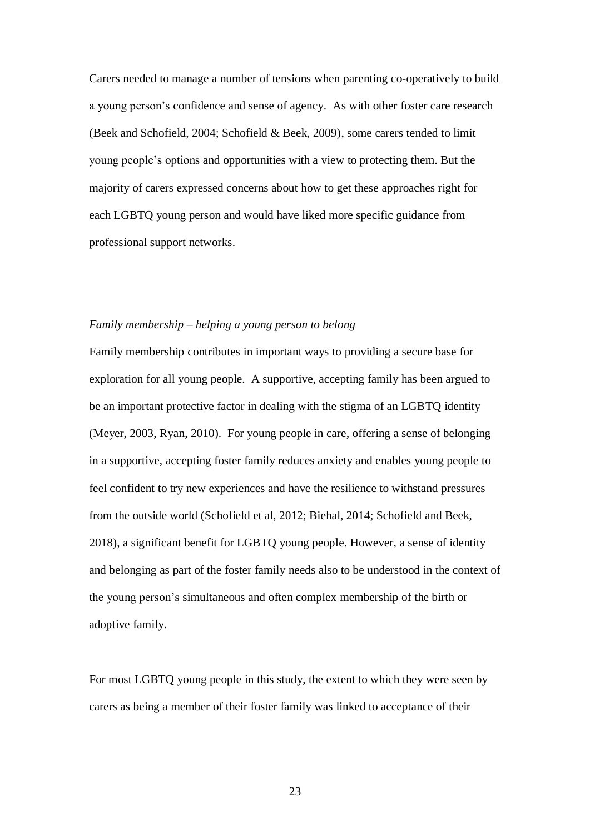Carers needed to manage a number of tensions when parenting co-operatively to build a young person's confidence and sense of agency. As with other foster care research (Beek and Schofield, 2004; Schofield & Beek, 2009), some carers tended to limit young people's options and opportunities with a view to protecting them. But the majority of carers expressed concerns about how to get these approaches right for each LGBTQ young person and would have liked more specific guidance from professional support networks.

## *Family membership – helping a young person to belong*

Family membership contributes in important ways to providing a secure base for exploration for all young people. A supportive, accepting family has been argued to be an important protective factor in dealing with the stigma of an LGBTQ identity (Meyer, 2003, Ryan, 2010). For young people in care, offering a sense of belonging in a supportive, accepting foster family reduces anxiety and enables young people to feel confident to try new experiences and have the resilience to withstand pressures from the outside world (Schofield et al, 2012; Biehal, 2014; Schofield and Beek, 2018), a significant benefit for LGBTQ young people. However, a sense of identity and belonging as part of the foster family needs also to be understood in the context of the young person's simultaneous and often complex membership of the birth or adoptive family.

For most LGBTQ young people in this study, the extent to which they were seen by carers as being a member of their foster family was linked to acceptance of their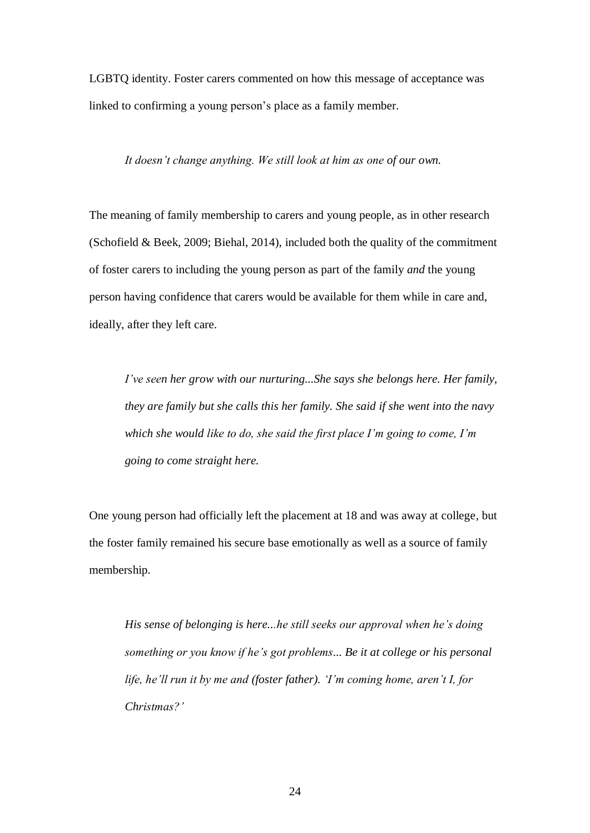LGBTQ identity. Foster carers commented on how this message of acceptance was linked to confirming a young person's place as a family member.

## *It doesn't change anything. We still look at him as one of our own.*

The meaning of family membership to carers and young people, as in other research (Schofield & Beek, 2009; Biehal, 2014), included both the quality of the commitment of foster carers to including the young person as part of the family *and* the young person having confidence that carers would be available for them while in care and, ideally, after they left care.

*I've seen her grow with our nurturing...She says she belongs here. Her family, they are family but she calls this her family. She said if she went into the navy which she would like to do, she said the first place I'm going to come, I'm going to come straight here.* 

One young person had officially left the placement at 18 and was away at college, but the foster family remained his secure base emotionally as well as a source of family membership.

*His sense of belonging is here...he still seeks our approval when he's doing something or you know if he's got problems... Be it at college or his personal life, he'll run it by me and (foster father). 'I'm coming home, aren't I, for Christmas?'*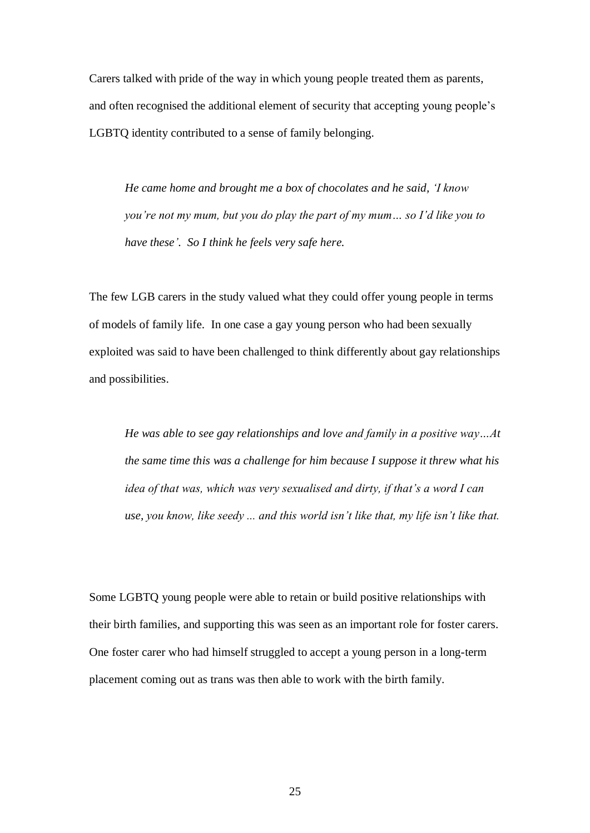Carers talked with pride of the way in which young people treated them as parents, and often recognised the additional element of security that accepting young people's LGBTQ identity contributed to a sense of family belonging.

*He came home and brought me a box of chocolates and he said, 'I know you're not my mum, but you do play the part of my mum… so I'd like you to have these'. So I think he feels very safe here.* 

The few LGB carers in the study valued what they could offer young people in terms of models of family life. In one case a gay young person who had been sexually exploited was said to have been challenged to think differently about gay relationships and possibilities.

*He was able to see gay relationships and love and family in a positive way…At the same time this was a challenge for him because I suppose it threw what his idea of that was, which was very sexualised and dirty, if that's a word I can use, you know, like seedy ... and this world isn't like that, my life isn't like that.* 

Some LGBTQ young people were able to retain or build positive relationships with their birth families, and supporting this was seen as an important role for foster carers. One foster carer who had himself struggled to accept a young person in a long-term placement coming out as trans was then able to work with the birth family.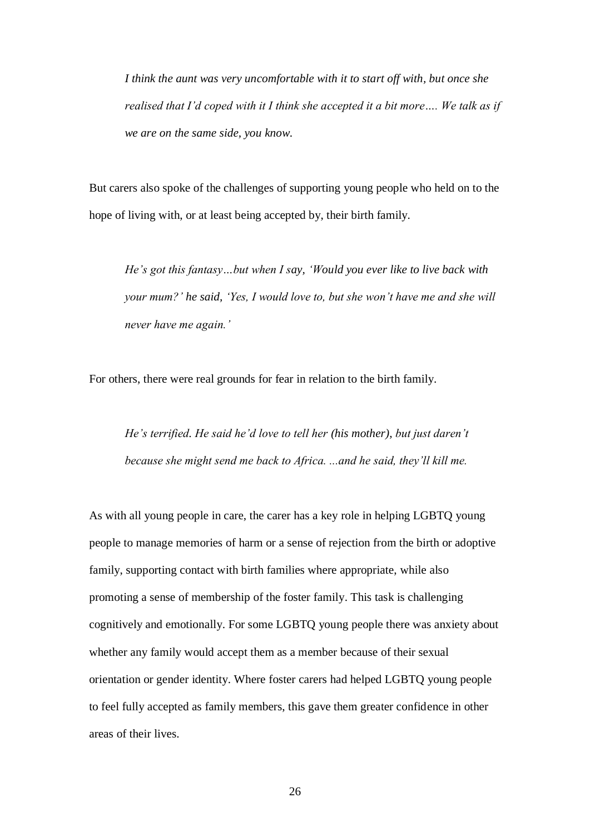*I think the aunt was very uncomfortable with it to start off with, but once she realised that I'd coped with it I think she accepted it a bit more…. We talk as if we are on the same side, you know.*

But carers also spoke of the challenges of supporting young people who held on to the hope of living with, or at least being accepted by, their birth family.

*He's got this fantasy…but when I say, 'Would you ever like to live back with your mum?' he said, 'Yes, I would love to, but she won't have me and she will never have me again.'* 

For others, there were real grounds for fear in relation to the birth family.

*He's terrified. He said he'd love to tell her (his mother), but just daren't because she might send me back to Africa. ...and he said, they'll kill me.* 

As with all young people in care, the carer has a key role in helping LGBTQ young people to manage memories of harm or a sense of rejection from the birth or adoptive family, supporting contact with birth families where appropriate, while also promoting a sense of membership of the foster family. This task is challenging cognitively and emotionally. For some LGBTQ young people there was anxiety about whether any family would accept them as a member because of their sexual orientation or gender identity. Where foster carers had helped LGBTQ young people to feel fully accepted as family members, this gave them greater confidence in other areas of their lives.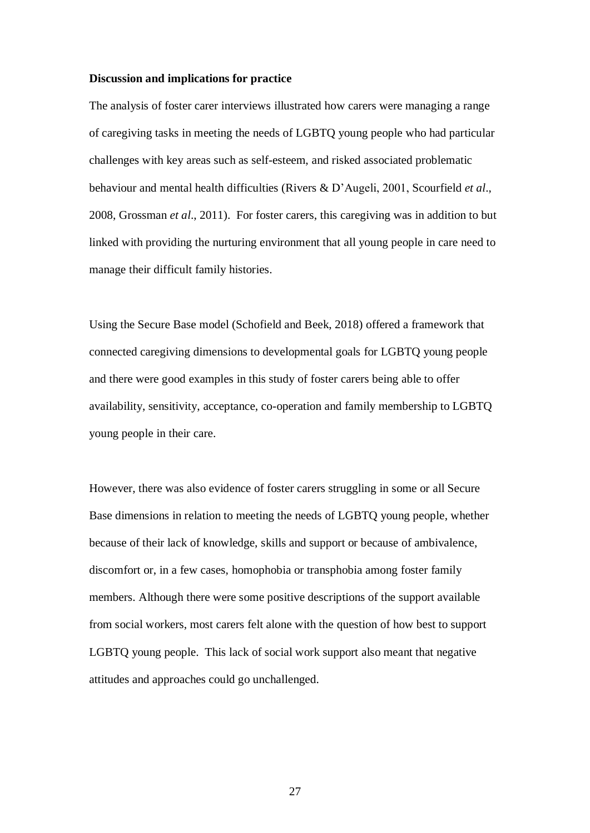#### **Discussion and implications for practice**

The analysis of foster carer interviews illustrated how carers were managing a range of caregiving tasks in meeting the needs of LGBTQ young people who had particular challenges with key areas such as self-esteem, and risked associated problematic behaviour and mental health difficulties (Rivers & D'Augeli, 2001, Scourfield *et al*., 2008, Grossman *et al*., 2011). For foster carers, this caregiving was in addition to but linked with providing the nurturing environment that all young people in care need to manage their difficult family histories.

Using the Secure Base model (Schofield and Beek, 2018) offered a framework that connected caregiving dimensions to developmental goals for LGBTQ young people and there were good examples in this study of foster carers being able to offer availability, sensitivity, acceptance, co-operation and family membership to LGBTQ young people in their care.

However, there was also evidence of foster carers struggling in some or all Secure Base dimensions in relation to meeting the needs of LGBTQ young people, whether because of their lack of knowledge, skills and support or because of ambivalence, discomfort or, in a few cases, homophobia or transphobia among foster family members. Although there were some positive descriptions of the support available from social workers, most carers felt alone with the question of how best to support LGBTQ young people. This lack of social work support also meant that negative attitudes and approaches could go unchallenged.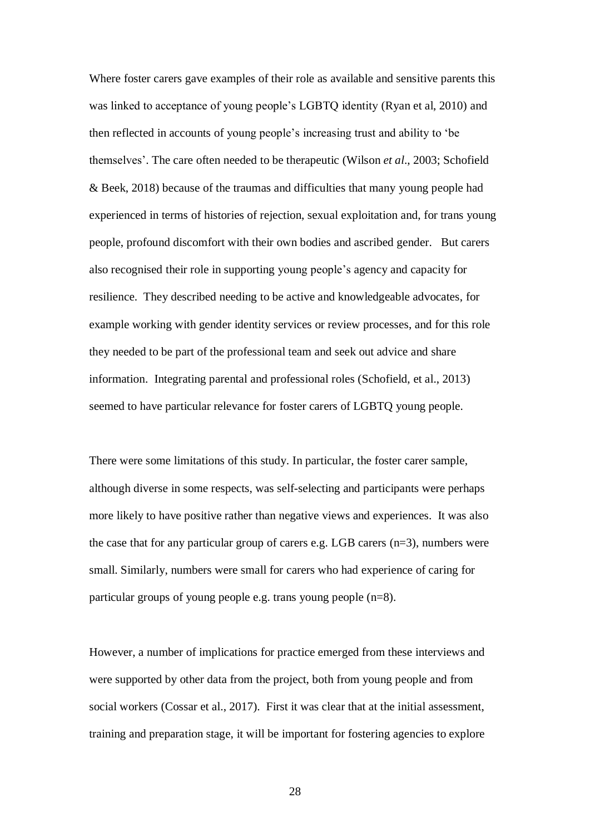Where foster carers gave examples of their role as available and sensitive parents this was linked to acceptance of young people's LGBTQ identity (Ryan et al, 2010) and then reflected in accounts of young people's increasing trust and ability to 'be themselves'. The care often needed to be therapeutic (Wilson *et al*., 2003; Schofield & Beek, 2018) because of the traumas and difficulties that many young people had experienced in terms of histories of rejection, sexual exploitation and, for trans young people, profound discomfort with their own bodies and ascribed gender. But carers also recognised their role in supporting young people's agency and capacity for resilience. They described needing to be active and knowledgeable advocates, for example working with gender identity services or review processes, and for this role they needed to be part of the professional team and seek out advice and share information. Integrating parental and professional roles (Schofield, et al., 2013) seemed to have particular relevance for foster carers of LGBTQ young people.

There were some limitations of this study. In particular, the foster carer sample, although diverse in some respects, was self-selecting and participants were perhaps more likely to have positive rather than negative views and experiences. It was also the case that for any particular group of carers e.g. LGB carers (n=3), numbers were small. Similarly, numbers were small for carers who had experience of caring for particular groups of young people e.g. trans young people (n=8).

However, a number of implications for practice emerged from these interviews and were supported by other data from the project, both from young people and from social workers (Cossar et al., 2017). First it was clear that at the initial assessment, training and preparation stage, it will be important for fostering agencies to explore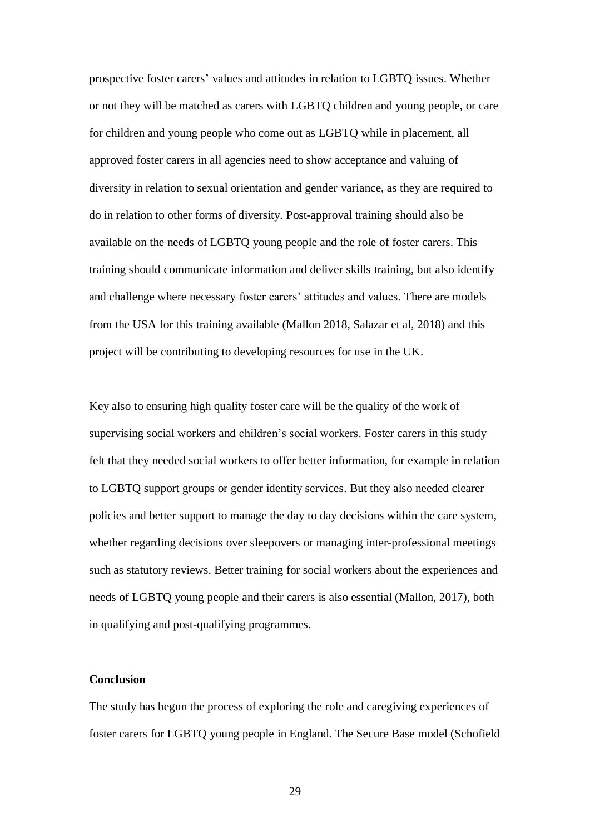prospective foster carers' values and attitudes in relation to LGBTQ issues. Whether or not they will be matched as carers with LGBTQ children and young people, or care for children and young people who come out as LGBTQ while in placement, all approved foster carers in all agencies need to show acceptance and valuing of diversity in relation to sexual orientation and gender variance, as they are required to do in relation to other forms of diversity. Post-approval training should also be available on the needs of LGBTQ young people and the role of foster carers. This training should communicate information and deliver skills training, but also identify and challenge where necessary foster carers' attitudes and values. There are models from the USA for this training available (Mallon 2018, Salazar et al, 2018) and this project will be contributing to developing resources for use in the UK.

Key also to ensuring high quality foster care will be the quality of the work of supervising social workers and children's social workers. Foster carers in this study felt that they needed social workers to offer better information, for example in relation to LGBTQ support groups or gender identity services. But they also needed clearer policies and better support to manage the day to day decisions within the care system, whether regarding decisions over sleepovers or managing inter-professional meetings such as statutory reviews. Better training for social workers about the experiences and needs of LGBTQ young people and their carers is also essential (Mallon, 2017), both in qualifying and post-qualifying programmes.

## **Conclusion**

The study has begun the process of exploring the role and caregiving experiences of foster carers for LGBTQ young people in England. The Secure Base model (Schofield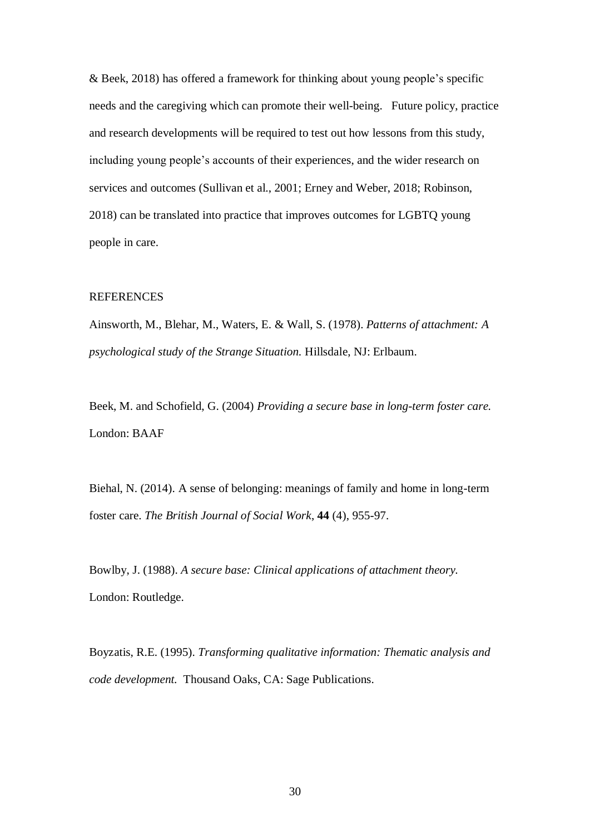& Beek, 2018) has offered a framework for thinking about young people's specific needs and the caregiving which can promote their well-being. Future policy, practice and research developments will be required to test out how lessons from this study, including young people's accounts of their experiences, and the wider research on services and outcomes (Sullivan et al., 2001; Erney and Weber, 2018; Robinson, 2018) can be translated into practice that improves outcomes for LGBTQ young people in care.

## REFERENCES

Ainsworth, M., Blehar, M., Waters, E. & Wall, S. (1978). *Patterns of attachment: A psychological study of the Strange Situation.* Hillsdale, NJ: Erlbaum.

Beek, M. and Schofield, G. (2004) *Providing a secure base in long-term foster care.* London: BAAF

Biehal, N. (2014). A sense of belonging: meanings of family and home in long-term foster care. *The British Journal of Social Work*, **44** (4), 955-97.

Bowlby, J. (1988). *A secure base: Clinical applications of attachment theory.* London: Routledge.

Boyzatis, R.E. (1995). *Transforming qualitative information: Thematic analysis and code development.* Thousand Oaks, CA: Sage Publications.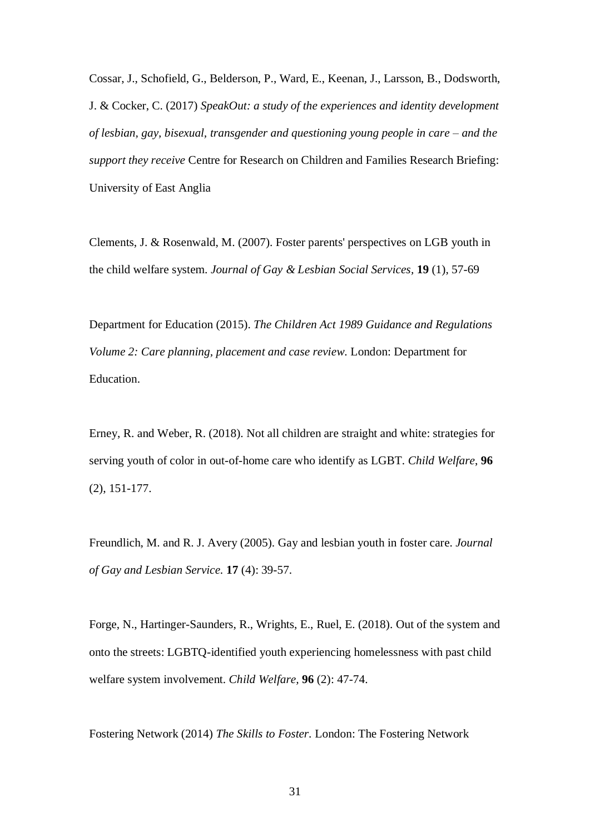Cossar, J., Schofield, G., Belderson, P., Ward, E., Keenan, J., Larsson, B., Dodsworth, J. & Cocker, C. (2017) *SpeakOut: a study of the experiences and identity development of lesbian, gay, bisexual, transgender and questioning young people in care – and the support they receive* Centre for Research on Children and Families Research Briefing: University of East Anglia

Clements, J. & Rosenwald, M. (2007). Foster parents' perspectives on LGB youth in the child welfare system. *Journal of Gay & Lesbian Social Services,* **19** (1), 57-69

Department for Education (2015). *The Children Act 1989 Guidance and Regulations Volume 2: Care planning, placement and case review.* London: Department for Education.

Erney, R. and Weber, R. (2018). Not all children are straight and white: strategies for serving youth of color in out-of-home care who identify as LGBT. *Child Welfare*, **96**  (2), 151-177.

Freundlich, M. and R. J. Avery (2005). Gay and lesbian youth in foster care. *Journal of Gay and Lesbian Service.* **17** (4): 39-57.

Forge, N., Hartinger-Saunders, R., Wrights, E., Ruel, E. (2018). Out of the system and onto the streets: LGBTQ-identified youth experiencing homelessness with past child welfare system involvement. *Child Welfare,* **96** (2): 47-74.

Fostering Network (2014) *The Skills to Foster.* London: The Fostering Network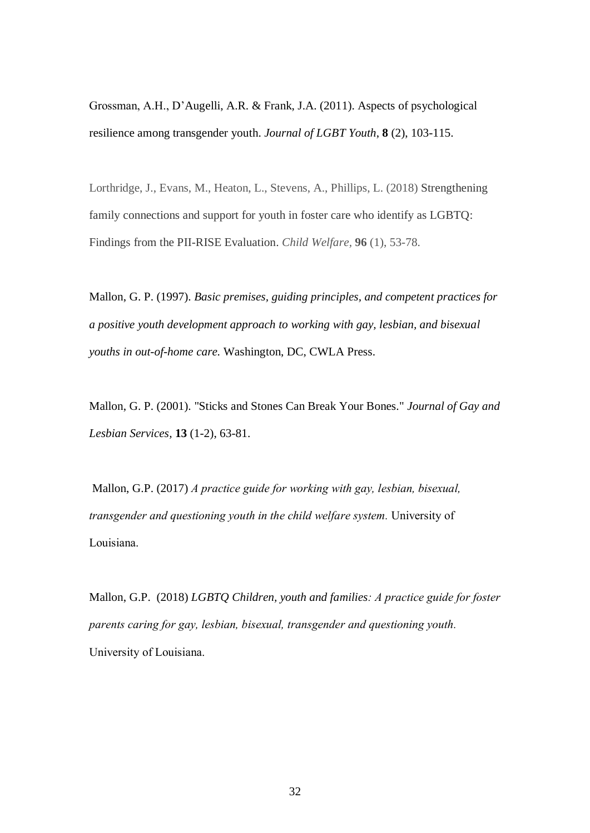Grossman, A.H., D'Augelli, A.R. & Frank, J.A. (2011). Aspects of psychological resilience among transgender youth. *Journal of LGBT Youth*, **8** (2), 103-115.

Lorthridge, J., Evans, M., Heaton, L., Stevens, A., Phillips, L. (2018) Strengthening family connections and support for youth in foster care who identify as LGBTQ: Findings from the PII-RISE Evaluation. *Child Welfare,* **96** (1), 53-78.

Mallon, G. P. (1997). *Basic premises, guiding principles, and competent practices for a positive youth development approach to working with gay, lesbian, and bisexual youths in out-of-home care.* Washington, DC, CWLA Press.

Mallon, G. P. (2001). "Sticks and Stones Can Break Your Bones." *Journal of Gay and Lesbian Services,* **13** (1-2), 63-81.

Mallon, G.P. (2017) *A practice guide for working with gay, lesbian, bisexual, transgender and questioning youth in the child welfare system.* University of Louisiana.

Mallon, G.P. (2018) *LGBTQ Children, youth and families: A practice guide for foster parents caring for gay, lesbian, bisexual, transgender and questioning youth.* University of Louisiana.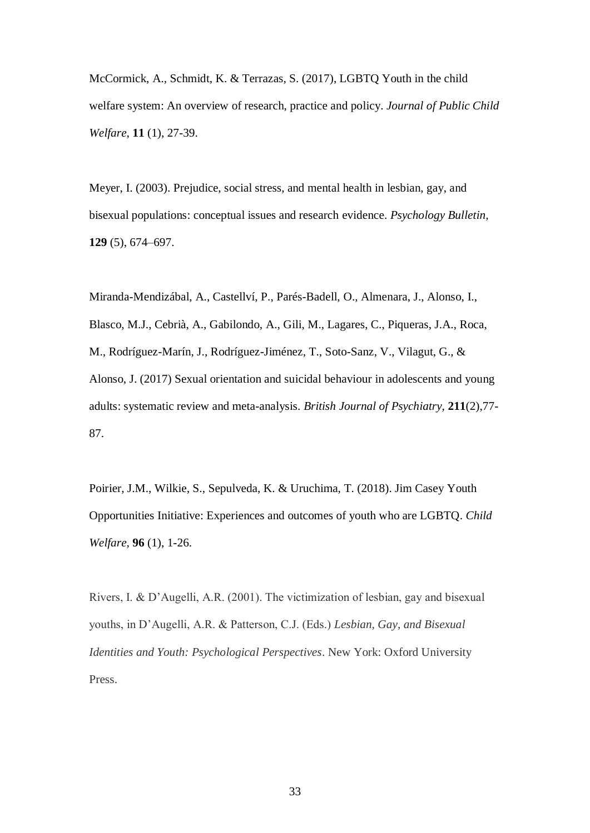McCormick, A., Schmidt, K. & Terrazas, S. (2017), LGBTQ Youth in the child welfare system: An overview of research, practice and policy. *Journal of Public Child Welfare*, **11** (1), 27-39.

Meyer, I. (2003). Prejudice, social stress, and mental health in lesbian, gay, and bisexual populations: conceptual issues and research evidence. *Psychology Bulletin,* **129** (5), 674–697.

Miranda-Mendizábal, A., Castellví, P., Parés-Badell, O., Almenara, J., Alonso, I., Blasco, M.J., Cebrià, A., Gabilondo, A., Gili, M., Lagares, C., Piqueras, J.A., Roca, M., Rodríguez-Marín, J., Rodríguez-Jiménez, T., Soto-Sanz, V., Vilagut, G., & Alonso, J. (2017) Sexual orientation and suicidal behaviour in adolescents and young adults: systematic review and meta-analysis. *British Journal of Psychiatry,* **211**(2),77- 87.

Poirier, J.M., Wilkie, S., Sepulveda, K. & Uruchima, T. (2018). Jim Casey Youth Opportunities Initiative: Experiences and outcomes of youth who are LGBTQ. *Child Welfare,* **96** (1), 1-26.

Rivers, I. & D'Augelli, A.R. (2001). The victimization of lesbian, gay and bisexual youths, in D'Augelli, A.R. & Patterson, C.J. (Eds.) *Lesbian, Gay, and Bisexual Identities and Youth: Psychological Perspectives*. New York: Oxford University Press.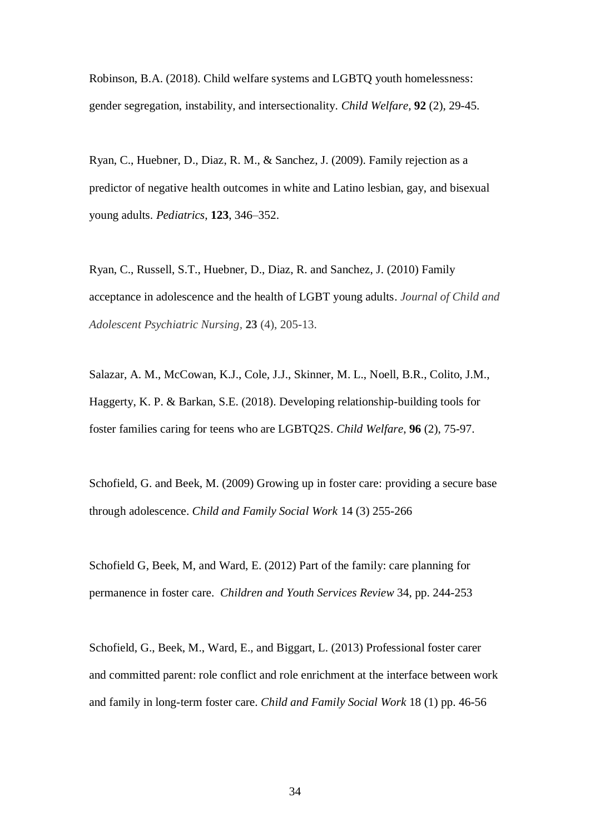Robinson, B.A. (2018). Child welfare systems and LGBTQ youth homelessness: gender segregation, instability, and intersectionality. *Child Welfare,* **92** (2), 29-45.

Ryan, C., Huebner, D., Diaz, R. M., & Sanchez, J. (2009). Family rejection as a predictor of negative health outcomes in white and Latino lesbian, gay, and bisexual young adults. *Pediatrics*, **123**, 346–352.

Ryan, C., Russell, S.T., Huebner, D., Diaz, R. and Sanchez, J. (2010) Family acceptance in adolescence and the health of LGBT young adults. *Journal of Child and Adolescent Psychiatric Nursing,* **23** (4), 205-13.

Salazar, A. M., McCowan, K.J., Cole, J.J., Skinner, M. L., Noell, B.R., Colito, J.M., Haggerty, K. P. & Barkan, S.E. (2018). Developing relationship-building tools for foster families caring for teens who are LGBTQ2S. *Child Welfare*, **96** (2), 75-97.

Schofield, G. and Beek, M. (2009) Growing up in foster care: providing a secure base through adolescence. *Child and Family Social Work* 14 (3) 255-266

Schofield G, Beek, M, and Ward, E. (2012) Part of the family: care planning for permanence in foster care. *Children and Youth Services Review* 34, pp. 244-253

Schofield, G., Beek, M., Ward, E., and Biggart, L. (2013) Professional foster carer and committed parent: role conflict and role enrichment at the interface between work and family in long-term foster care. *Child and Family Social Work* 18 (1) pp. 46-56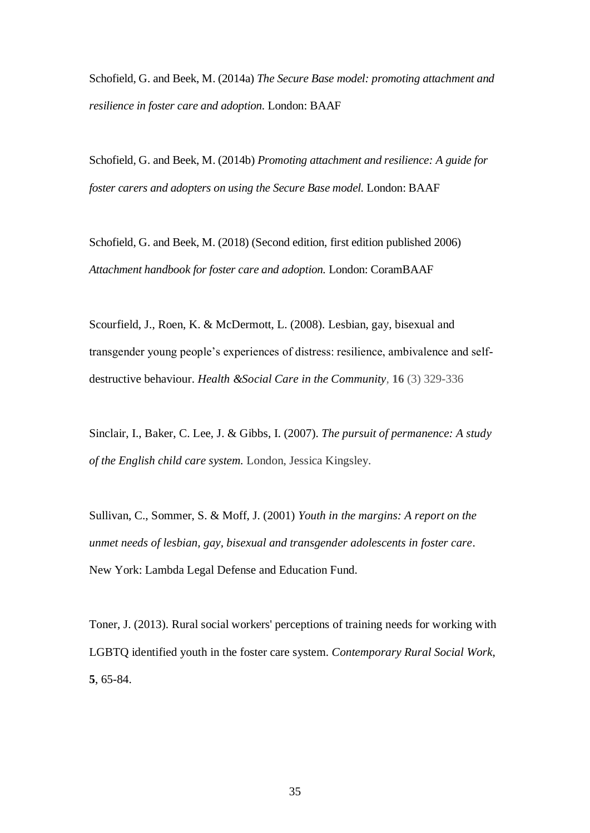Schofield, G. and Beek, M. (2014a) *The Secure Base model: promoting attachment and resilience in foster care and adoption.* London: BAAF

Schofield, G. and Beek, M. (2014b) *Promoting attachment and resilience: A guide for foster carers and adopters on using the Secure Base model.* London: BAAF

Schofield, G. and Beek, M. (2018) (Second edition, first edition published 2006) *Attachment handbook for foster care and adoption.* London: CoramBAAF

Scourfield, J., Roen, K. & McDermott, L. (2008). Lesbian, gay, bisexual and transgender young people's experiences of distress: resilience, ambivalence and selfdestructive behaviour. *Health &Social Care in the Community,* **16** (3) 329-336

Sinclair, I., Baker, C. Lee, J. & Gibbs, I. (2007). *The pursuit of permanence: A study of the English child care system.* London, Jessica Kingsley.

Sullivan, C., Sommer, S. & Moff, J. (2001) *Youth in the margins: A report on the unmet needs of lesbian, gay, bisexual and transgender adolescents in foster care*. New York: Lambda Legal Defense and Education Fund.

Toner, J. (2013). Rural social workers' perceptions of training needs for working with LGBTQ identified youth in the foster care system. *Contemporary Rural Social Work*, **5**, 65-84.